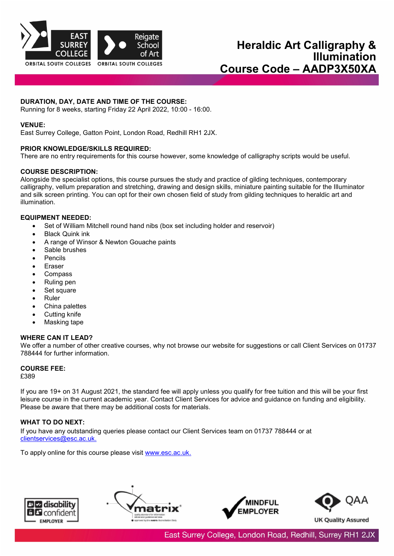

# **DURATION, DAY, DATE AND TIME OF THE COURSE:**

Running for 8 weeks, starting Friday 22 April 2022, 10:00 - 16:00.

#### **VENUE:**

East Surrey College, Gatton Point, London Road, Redhill RH1 2JX.

#### **PRIOR KNOWLEDGE/SKILLS REQUIRED:**

There are no entry requirements for this course however, some knowledge of calligraphy scripts would be useful.

#### **COURSE DESCRIPTION:**

Alongside the specialist options, this course pursues the study and practice of gilding techniques, contemporary calligraphy, vellum preparation and stretching, drawing and design skills, miniature painting suitable for the Illuminator and silk screen printing. You can opt for their own chosen field of study from gilding techniques to heraldic art and illumination.

### **EQUIPMENT NEEDED:**

- Set of William Mitchell round hand nibs (box set including holder and reservoir)
- **Black Quink ink**
- A range of Winsor & Newton Gouache paints
- Sable brushes
- **Pencils**
- **Eraser**
- Compass
- Ruling pen
- Set square
- Ruler
- China palettes
- Cutting knife
- Masking tape

# **WHERE CAN IT LEAD?**

We offer a number of other creative courses, why not browse our website for suggestions or call Client Services on 01737 788444 for further information.

# **COURSE FEE:**

£389

If you are 19+ on 31 August 2021, the standard fee will apply unless you qualify for free tuition and this will be your first leisure course in the current academic year. Contact Client Services for advice and guidance on funding and eligibility. Please be aware that there may be additional costs for materials.

# **WHAT TO DO NEXT:**

If you have any outstanding queries please contact our Client Services team on 01737 788444 or at [clientservices@esc.ac.uk.](mailto:clientservices@esc.ac.uk.)

To apply online for this course please visit [www.esc.ac.uk.](http://www.esc.ac.uk/)